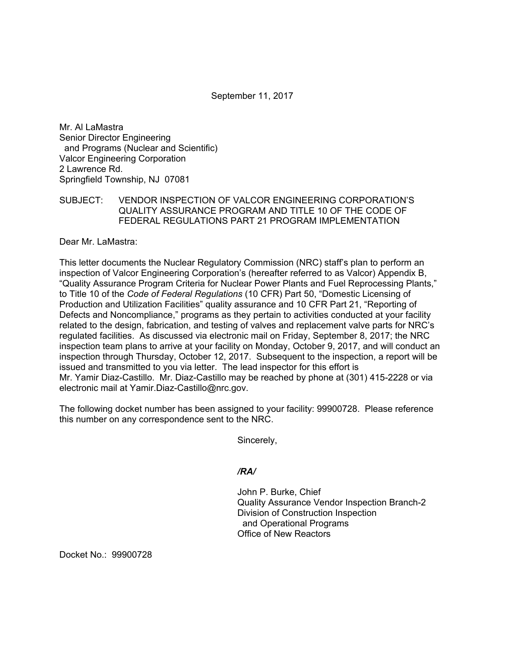September 11, 2017

Mr. Al LaMastra Senior Director Engineering and Programs (Nuclear and Scientific) Valcor Engineering Corporation 2 Lawrence Rd. Springfield Township, NJ 07081

## SUBJECT: VENDOR INSPECTION OF VALCOR ENGINEERING CORPORATION'S QUALITY ASSURANCE PROGRAM AND TITLE 10 OF THE CODE OF FEDERAL REGULATIONS PART 21 PROGRAM IMPLEMENTATION

Dear Mr. LaMastra:

This letter documents the Nuclear Regulatory Commission (NRC) staff's plan to perform an inspection of Valcor Engineering Corporation's (hereafter referred to as Valcor) Appendix B, "Quality Assurance Program Criteria for Nuclear Power Plants and Fuel Reprocessing Plants," to Title 10 of the *Code of Federal Regulations* (10 CFR) Part 50, "Domestic Licensing of Production and Utilization Facilities" quality assurance and 10 CFR Part 21, "Reporting of Defects and Noncompliance," programs as they pertain to activities conducted at your facility related to the design, fabrication, and testing of valves and replacement valve parts for NRC's regulated facilities. As discussed via electronic mail on Friday, September 8, 2017; the NRC inspection team plans to arrive at your facility on Monday, October 9, 2017, and will conduct an inspection through Thursday, October 12, 2017. Subsequent to the inspection, a report will be issued and transmitted to you via letter. The lead inspector for this effort is Mr. Yamir Diaz-Castillo. Mr. Diaz-Castillo may be reached by phone at (301) 415-2228 or via electronic mail at Yamir.Diaz-Castillo@nrc.gov.

The following docket number has been assigned to your facility: 99900728. Please reference this number on any correspondence sent to the NRC.

Sincerely,

## */RA/*

John P. Burke, Chief Quality Assurance Vendor Inspection Branch-2 Division of Construction Inspection and Operational Programs Office of New Reactors

Docket No.: 99900728